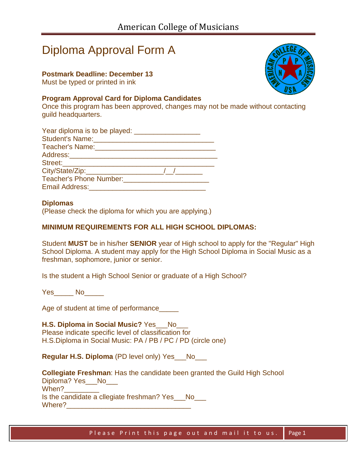# Diploma Approval Form A

## **Postmark Deadline: December 13**

Must be typed or printed in ink

### **Program Approval Card for Diploma Candidates**

Once this program has been approved, changes may not be made without contacting guild headquarters.

| Teacher's Name:<br><u> Teacher's Name:</u>                                      |  |
|---------------------------------------------------------------------------------|--|
|                                                                                 |  |
|                                                                                 |  |
| City/State/Zip:_____________________                                            |  |
| Teacher's Phone Number: The Contract of the Contract of Teacher's Phone Number: |  |
|                                                                                 |  |

#### **Diplomas**

(Please check the diploma for which you are applying.)

## **MINIMUM REQUIREMENTS FOR ALL HIGH SCHOOL DIPLOMAS:**

Student **MUST** be in his/her **SENIOR** year of High school to apply for the "Regular" High School Diploma. A student may apply for the High School Diploma in Social Music as a freshman, sophomore, junior or senior.

Is the student a High School Senior or graduate of a High School?

Yes\_\_\_\_\_ No

Age of student at time of performance\_

## **H.S. Diploma in Social Music?** Yes No

Please indicate specific level of classification for H.S.Diploma in Social Music: PA / PB / PC / PD (circle one)

**Regular H.S. Diploma** (PD level only) Yes No

**Collegiate Freshman**: Has the candidate been granted the Guild High School Diploma? Yes\_\_No\_\_\_ When? Is the candidate a cllegiate freshman? Yes No Where?\_\_\_\_\_\_\_\_\_\_\_\_\_\_\_\_\_\_\_\_\_\_\_\_\_\_\_\_\_\_\_\_

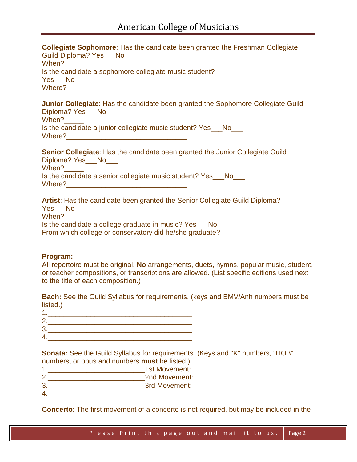**Collegiate Sophomore**: Has the candidate been granted the Freshman Collegiate Guild Diploma? Yes No When? Is the candidate a sophomore collegiate music student? Yes\_\_No\_\_\_ Where?\_\_\_\_\_\_\_\_\_\_\_\_\_\_\_\_\_\_\_\_\_\_\_\_\_\_\_\_\_\_\_\_ **Junior Collegiate**: Has the candidate been granted the Sophomore Collegiate Guild Diploma? Yes No When? Is the candidate a junior collegiate music student? Yes\_\_\_No\_\_\_ Where?\_\_\_\_\_\_\_\_\_\_\_\_\_\_\_\_\_\_\_\_\_\_\_\_\_\_\_\_\_\_\_ **Senior Collegiate**: Has the candidate been granted the Junior Collegiate Guild Diploma? Yes\_\_\_No\_\_\_\_ When? Is the candidate a senior collegiate music student? Yes\_\_\_No\_\_\_ Where?\_\_\_\_\_\_\_\_\_\_\_\_\_\_\_\_\_\_\_\_\_\_\_\_\_\_\_\_\_\_\_ **Artist**: Has the candidate been granted the Senior Collegiate Guild Diploma? Yes\_\_\_No\_\_\_\_

When? Is the candidate a college graduate in music? Yes\_\_\_No\_\_\_ From which college or conservatory did he/she graduate?

#### **Program:**

All repertoire must be original. **No** arrangements, duets, hymns, popular music, student, or teacher compositions, or transcriptions are allowed. (List specific editions used next to the title of each composition.)

**Bach:** See the Guild Syllabus for requirements. (keys and BMV/Anh numbers must be listed.)

| ۰ |  |  |
|---|--|--|
|   |  |  |

\_\_\_\_\_\_\_\_\_\_\_\_\_\_\_\_\_\_\_\_\_\_\_\_\_\_\_\_\_\_\_\_\_\_\_\_\_

**Sonata:** See the Guild Syllabus for requirements. (Keys and "K" numbers, "HOB" numbers, or opus and numbers **must** be listed.)

| 1st Movement: |
|---------------|
| 2nd Movement: |
| 3rd Movement: |
|               |

**Concerto**: The first movement of a concerto is not required, but may be included in the